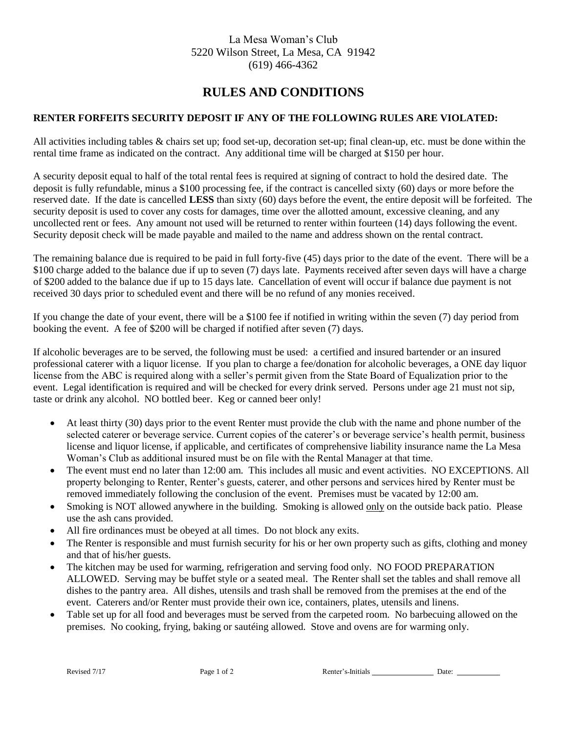## La Mesa Woman's Club 5220 Wilson Street, La Mesa, CA 91942 (619) 466-4362

## **RULES AND CONDITIONS**

## **RENTER FORFEITS SECURITY DEPOSIT IF ANY OF THE FOLLOWING RULES ARE VIOLATED:**

All activities including tables & chairs set up; food set-up, decoration set-up; final clean-up, etc. must be done within the rental time frame as indicated on the contract. Any additional time will be charged at \$150 per hour.

A security deposit equal to half of the total rental fees is required at signing of contract to hold the desired date. The deposit is fully refundable, minus a \$100 processing fee, if the contract is cancelled sixty (60) days or more before the reserved date. If the date is cancelled **LESS** than sixty (60) days before the event, the entire deposit will be forfeited. The security deposit is used to cover any costs for damages, time over the allotted amount, excessive cleaning, and any uncollected rent or fees. Any amount not used will be returned to renter within fourteen (14) days following the event. Security deposit check will be made payable and mailed to the name and address shown on the rental contract.

The remaining balance due is required to be paid in full forty-five (45) days prior to the date of the event. There will be a \$100 charge added to the balance due if up to seven (7) days late. Payments received after seven days will have a charge of \$200 added to the balance due if up to 15 days late. Cancellation of event will occur if balance due payment is not received 30 days prior to scheduled event and there will be no refund of any monies received.

If you change the date of your event, there will be a \$100 fee if notified in writing within the seven (7) day period from booking the event. A fee of \$200 will be charged if notified after seven (7) days.

If alcoholic beverages are to be served, the following must be used: a certified and insured bartender or an insured professional caterer with a liquor license. If you plan to charge a fee/donation for alcoholic beverages, a ONE day liquor license from the ABC is required along with a seller's permit given from the State Board of Equalization prior to the event. Legal identification is required and will be checked for every drink served. Persons under age 21 must not sip, taste or drink any alcohol. NO bottled beer. Keg or canned beer only!

- At least thirty (30) days prior to the event Renter must provide the club with the name and phone number of the selected caterer or beverage service. Current copies of the caterer's or beverage service's health permit, business license and liquor license, if applicable, and certificates of comprehensive liability insurance name the La Mesa Woman's Club as additional insured must be on file with the Rental Manager at that time.
- The event must end no later than 12:00 am. This includes all music and event activities. NO EXCEPTIONS. All property belonging to Renter, Renter's guests, caterer, and other persons and services hired by Renter must be removed immediately following the conclusion of the event. Premises must be vacated by 12:00 am.
- Smoking is NOT allowed anywhere in the building. Smoking is allowed only on the outside back patio. Please use the ash cans provided.
- All fire ordinances must be obeyed at all times. Do not block any exits.
- The Renter is responsible and must furnish security for his or her own property such as gifts, clothing and money and that of his/her guests.
- The kitchen may be used for warming, refrigeration and serving food only. NO FOOD PREPARATION ALLOWED. Serving may be buffet style or a seated meal. The Renter shall set the tables and shall remove all dishes to the pantry area. All dishes, utensils and trash shall be removed from the premises at the end of the event. Caterers and/or Renter must provide their own ice, containers, plates, utensils and linens.
- Table set up for all food and beverages must be served from the carpeted room. No barbecuing allowed on the premises. No cooking, frying, baking or sautéing allowed. Stove and ovens are for warming only.

Revised 7/17 **Page 1 of 2** Renter's Initials **Page 1 of 2** Renter's Initials **Page 1 of 2** Renter's Initials **Page 1 of 2** Renter's Initials **Page 1 of 2** Renter's Initials **Page 1 of 2** Renter's Initials **Page 1 of 2** Ren